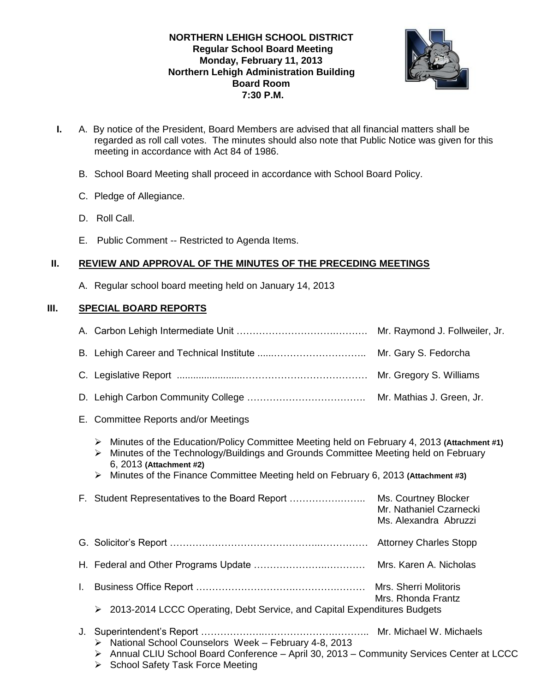# **NORTHERN LEHIGH SCHOOL DISTRICT Regular School Board Meeting Monday, February 11, 2013 Northern Lehigh Administration Building Board Room 7:30 P.M.**



- **I.** A. By notice of the President, Board Members are advised that all financial matters shall be regarded as roll call votes. The minutes should also note that Public Notice was given for this meeting in accordance with Act 84 of 1986.
	- B. School Board Meeting shall proceed in accordance with School Board Policy.
	- C. Pledge of Allegiance.
	- D. Roll Call.
	- E. Public Comment -- Restricted to Agenda Items.

# **II. REVIEW AND APPROVAL OF THE MINUTES OF THE PRECEDING MEETINGS**

A. Regular school board meeting held on January 14, 2013

# **III. SPECIAL BOARD REPORTS**

|                                                                                                                                                                                                                                                                                                                 | Mr. Gary S. Fedorcha                                                                   |
|-----------------------------------------------------------------------------------------------------------------------------------------------------------------------------------------------------------------------------------------------------------------------------------------------------------------|----------------------------------------------------------------------------------------|
|                                                                                                                                                                                                                                                                                                                 | Mr. Gregory S. Williams                                                                |
|                                                                                                                                                                                                                                                                                                                 |                                                                                        |
|                                                                                                                                                                                                                                                                                                                 |                                                                                        |
| Minutes of the Education/Policy Committee Meeting held on February 4, 2013 (Attachment #1)<br>➤<br>Minutes of the Technology/Buildings and Grounds Committee Meeting held on February<br>➤<br>6, 2013 (Attachment #2)<br>Minutes of the Finance Committee Meeting held on February 6, 2013 (Attachment #3)<br>➤ |                                                                                        |
|                                                                                                                                                                                                                                                                                                                 | Ms. Courtney Blocker<br>Mr. Nathaniel Czarnecki<br>Ms. Alexandra Abruzzi               |
|                                                                                                                                                                                                                                                                                                                 |                                                                                        |
|                                                                                                                                                                                                                                                                                                                 |                                                                                        |
|                                                                                                                                                                                                                                                                                                                 | Mrs. Rhonda Frantz                                                                     |
| > 2013-2014 LCCC Operating, Debt Service, and Capital Expenditures Budgets                                                                                                                                                                                                                                      |                                                                                        |
| National School Counselors Week - February 4-8, 2013<br>➤<br>> Annual CLIU School Board Conference - April 30, 2013 - Community Services Center at LCCC<br><b>School Safety Task Force Meeting</b><br>≻                                                                                                         |                                                                                        |
|                                                                                                                                                                                                                                                                                                                 | E. Committee Reports and/or Meetings<br>F. Student Representatives to the Board Report |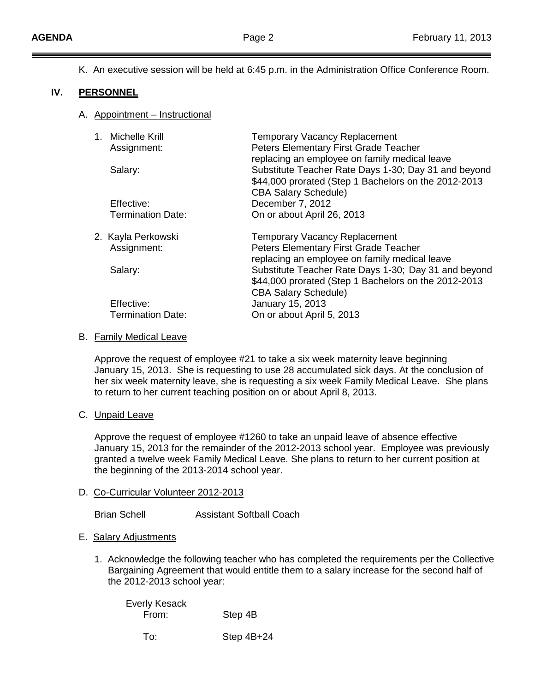K. An executive session will be held at 6:45 p.m. in the Administration Office Conference Room.

### **IV. PERSONNEL**

A. Appointment – Instructional

| 1. Michelle Krill<br>Assignment:<br>Salary: | <b>Temporary Vacancy Replacement</b><br>Peters Elementary First Grade Teacher<br>replacing an employee on family medical leave<br>Substitute Teacher Rate Days 1-30; Day 31 and beyond<br>\$44,000 prorated (Step 1 Bachelors on the 2012-2013<br><b>CBA Salary Schedule)</b> |
|---------------------------------------------|-------------------------------------------------------------------------------------------------------------------------------------------------------------------------------------------------------------------------------------------------------------------------------|
| Effective:                                  | December 7, 2012                                                                                                                                                                                                                                                              |
| <b>Termination Date:</b>                    | On or about April 26, 2013                                                                                                                                                                                                                                                    |
| 2. Kayla Perkowski                          | <b>Temporary Vacancy Replacement</b>                                                                                                                                                                                                                                          |
| Assignment:                                 | Peters Elementary First Grade Teacher                                                                                                                                                                                                                                         |
| Salary:                                     | replacing an employee on family medical leave<br>Substitute Teacher Rate Days 1-30; Day 31 and beyond<br>\$44,000 prorated (Step 1 Bachelors on the 2012-2013                                                                                                                 |
| Effective:<br><b>Termination Date:</b>      | <b>CBA Salary Schedule)</b><br>January 15, 2013<br>On or about April 5, 2013                                                                                                                                                                                                  |

#### B. Family Medical Leave

Approve the request of employee #21 to take a six week maternity leave beginning January 15, 2013. She is requesting to use 28 accumulated sick days. At the conclusion of her six week maternity leave, she is requesting a six week Family Medical Leave. She plans to return to her current teaching position on or about April 8, 2013.

### C. Unpaid Leave

Approve the request of employee #1260 to take an unpaid leave of absence effective January 15, 2013 for the remainder of the 2012-2013 school year. Employee was previously granted a twelve week Family Medical Leave. She plans to return to her current position at the beginning of the 2013-2014 school year.

#### D. Co-Curricular Volunteer 2012-2013

Brian Schell Assistant Softball Coach

### E. Salary Adjustments

1. Acknowledge the following teacher who has completed the requirements per the Collective Bargaining Agreement that would entitle them to a salary increase for the second half of the 2012-2013 school year:

Everly Kesack From: Step 4B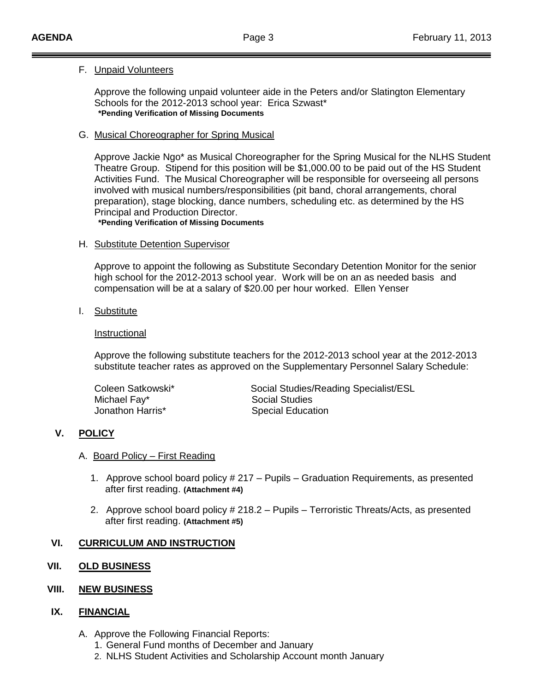### F. Unpaid Volunteers

Approve the following unpaid volunteer aide in the Peters and/or Slatington Elementary Schools for the 2012-2013 school year: Erica Szwast\* **\*Pending Verification of Missing Documents**

### G. Musical Choreographer for Spring Musical

Approve Jackie Ngo\* as Musical Choreographer for the Spring Musical for the NLHS Student Theatre Group. Stipend for this position will be \$1,000.00 to be paid out of the HS Student Activities Fund. The Musical Choreographer will be responsible for overseeing all persons involved with musical numbers/responsibilities (pit band, choral arrangements, choral preparation), stage blocking, dance numbers, scheduling etc. as determined by the HS Principal and Production Director.

**\*Pending Verification of Missing Documents**

### H. Substitute Detention Supervisor

Approve to appoint the following as Substitute Secondary Detention Monitor for the senior high school for the 2012-2013 school year. Work will be on an as needed basis and compensation will be at a salary of \$20.00 per hour worked. Ellen Yenser

### I. Substitute

### Instructional

Approve the following substitute teachers for the 2012-2013 school year at the 2012-2013 substitute teacher rates as approved on the Supplementary Personnel Salary Schedule:

| Coleen Satkowski* | Social Studies/Reading Specialist/ESL |
|-------------------|---------------------------------------|
| Michael Fay*      | <b>Social Studies</b>                 |
| Jonathon Harris*  | <b>Special Education</b>              |

# **V. POLICY**

### A. Board Policy – First Reading

- 1. Approve school board policy # 217 Pupils Graduation Requirements, as presented after first reading. **(Attachment #4)**
- 2. Approve school board policy # 218.2 Pupils Terroristic Threats/Acts, as presented after first reading. **(Attachment #5)**

# **VI. CURRICULUM AND INSTRUCTION**

# **VII. OLD BUSINESS**

# **VIII. NEW BUSINESS**

# **IX. FINANCIAL**

- A. Approve the Following Financial Reports:
	- 1. General Fund months of December and January
	- 2. NLHS Student Activities and Scholarship Account month January